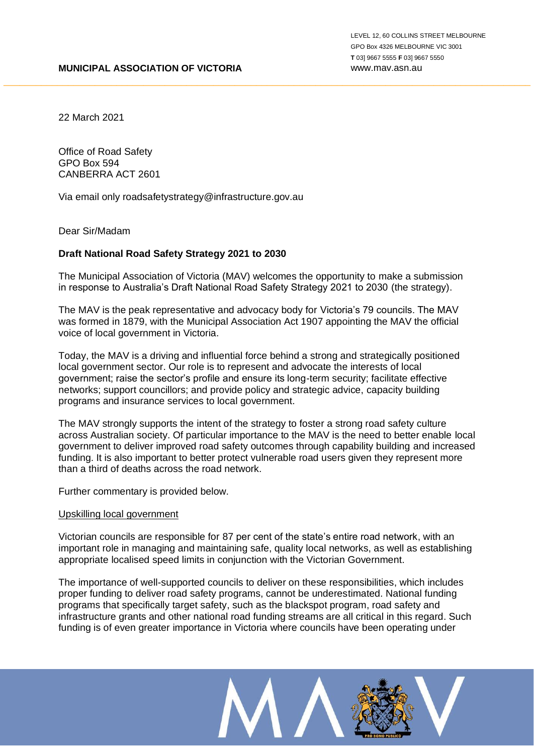22 March 2021

Office of Road Safety GPO Box 594 CANBERRA ACT 2601

Via email only roadsafetystrategy@infrastructure.gov.au

Dear Sir/Madam

#### **Draft National Road Safety Strategy 2021 to 2030**

The Municipal Association of Victoria (MAV) welcomes the opportunity to make a submission in response to Australia's Draft National Road Safety Strategy 2021 to 2030 (the strategy).

\_\_\_\_\_\_\_\_\_\_\_\_\_\_\_\_\_\_\_\_\_\_\_\_\_\_\_\_\_\_\_\_\_\_\_\_\_\_\_\_\_\_\_\_\_\_\_\_\_\_\_\_\_\_\_\_\_\_\_\_\_\_\_\_\_\_\_\_\_\_\_\_\_\_\_\_\_\_\_\_\_\_\_\_\_\_\_\_\_\_\_\_\_\_\_\_\_\_

The MAV is the peak representative and advocacy body for Victoria's 79 councils. The MAV was formed in 1879, with the Municipal Association Act 1907 appointing the MAV the official voice of local government in Victoria.

Today, the MAV is a driving and influential force behind a strong and strategically positioned local government sector. Our role is to represent and advocate the interests of local government; raise the sector's profile and ensure its long-term security; facilitate effective networks; support councillors; and provide policy and strategic advice, capacity building programs and insurance services to local government.

The MAV strongly supports the intent of the strategy to foster a strong road safety culture across Australian society. Of particular importance to the MAV is the need to better enable local government to deliver improved road safety outcomes through capability building and increased funding. It is also important to better protect vulnerable road users given they represent more than a third of deaths across the road network.

Further commentary is provided below.

#### Upskilling local government

Victorian councils are responsible for 87 per cent of the state's entire road network, with an important role in managing and maintaining safe, quality local networks, as well as establishing appropriate localised speed limits in conjunction with the Victorian Government.

The importance of well-supported councils to deliver on these responsibilities, which includes proper funding to deliver road safety programs, cannot be underestimated. National funding programs that specifically target safety, such as the blackspot program, road safety and infrastructure grants and other national road funding streams are all critical in this regard. Such funding is of even greater importance in Victoria where councils have been operating under

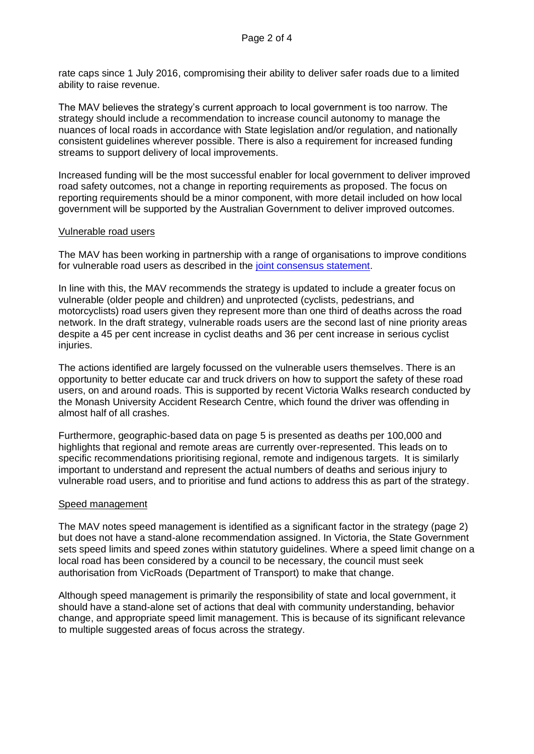rate caps since 1 July 2016, compromising their ability to deliver safer roads due to a limited ability to raise revenue.

The MAV believes the strategy's current approach to local government is too narrow. The strategy should include a recommendation to increase council autonomy to manage the nuances of local roads in accordance with State legislation and/or regulation, and nationally consistent guidelines wherever possible. There is also a requirement for increased funding streams to support delivery of local improvements.

Increased funding will be the most successful enabler for local government to deliver improved road safety outcomes, not a change in reporting requirements as proposed. The focus on reporting requirements should be a minor component, with more detail included on how local government will be supported by the Australian Government to deliver improved outcomes.

## Vulnerable road users

The MAV has been working in partnership with a range of organisations to improve conditions for vulnerable road users as described in the joint consensus statement.

In line with this, the MAV recommends the strategy is updated to include a greater focus on vulnerable (older people and children) and unprotected (cyclists, pedestrians, and motorcyclists) road users given they represent more than one third of deaths across the road network. In the draft strategy, vulnerable roads users are the second last of nine priority areas despite a 45 per cent increase in cyclist deaths and 36 per cent increase in serious cyclist injuries.

The actions identified are largely focussed on the vulnerable users themselves. There is an opportunity to better educate car and truck drivers on how to support the safety of these road users, on and around roads. This is supported by recent Victoria Walks research conducted by the Monash University Accident Research Centre, which found the driver was offending in almost half of all crashes.

Furthermore, geographic-based data on page 5 is presented as deaths per 100,000 and highlights that regional and remote areas are currently over-represented. This leads on to specific recommendations prioritising regional, remote and indigenous targets. It is similarly important to understand and represent the actual numbers of deaths and serious injury to vulnerable road users, and to prioritise and fund actions to address this as part of the strategy.

# Speed management

The MAV notes speed management is identified as a significant factor in the strategy (page 2) but does not have a stand-alone recommendation assigned. In Victoria, the State Government sets speed limits and speed zones within statutory guidelines. Where a speed limit change on a local road has been considered by a council to be necessary, the council must seek authorisation from VicRoads (Department of Transport) to make that change.

Although speed management is primarily the responsibility of state and local government, it should have a stand-alone set of actions that deal with community understanding, behavior change, and appropriate speed limit management. This is because of its significant relevance to multiple suggested areas of focus across the strategy.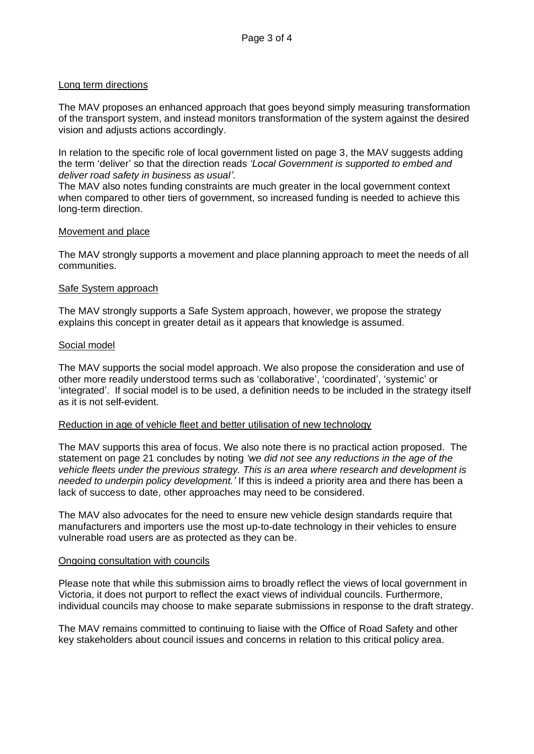## Long term directions

The MAV proposes an enhanced approach that goes beyond simply measuring transformation of the transport system, and instead monitors transformation of the system against the desired vision and adjusts actions accordingly.

In relation to the specific role of local government listed on page 3, the MAV suggests adding the term 'deliver' so that the direction reads *'Local Government is supported to embed and deliver road safety in business as usual'.*

The MAV also notes funding constraints are much greater in the local government context when compared to other tiers of government, so increased funding is needed to achieve this long-term direction.

## Movement and place

The MAV strongly supports a movement and place planning approach to meet the needs of all communities.

## Safe System approach

The MAV strongly supports a Safe System approach, however, we propose the strategy explains this concept in greater detail as it appears that knowledge is assumed.

## Social model

The MAV supports the social model approach. We also propose the consideration and use of other more readily understood terms such as 'collaborative', 'coordinated', 'systemic' or 'integrated'. If social model is to be used, a definition needs to be included in the strategy itself as it is not self-evident.

# Reduction in age of vehicle fleet and better utilisation of new technology

The MAV supports this area of focus. We also note there is no practical action proposed. The statement on page 21 concludes by noting *'we did not see any reductions in the age of the vehicle fleets under the previous strategy. This is an area where research and development is needed to underpin policy development.'* If this is indeed a priority area and there has been a lack of success to date, other approaches may need to be considered.

The MAV also advocates for the need to ensure new vehicle design standards require that manufacturers and importers use the most up-to-date technology in their vehicles to ensure vulnerable road users are as protected as they can be.

#### Ongoing consultation with councils

Please note that while this submission aims to broadly reflect the views of local government in Victoria, it does not purport to reflect the exact views of individual councils. Furthermore, individual councils may choose to make separate submissions in response to the draft strategy.

The MAV remains committed to continuing to liaise with the Office of Road Safety and other key stakeholders about council issues and concerns in relation to this critical policy area.